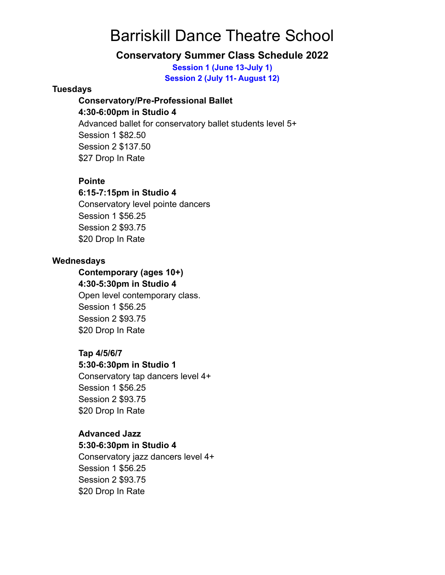# Barriskill Dance Theatre School

# **Conservatory Summer Class Schedule 2022**

**Session 1 (June 13-July 1) Session 2 (July 11- August 12)**

### **Tuesdays**

#### **Conservatory/Pre-Professional Ballet**

### **4:30-6:00pm in Studio 4**

Advanced ballet for conservatory ballet students level 5+ Session 1 \$82.50 Session 2 \$137.50 \$27 Drop In Rate

## **Pointe**

## **6:15-7:15pm in Studio 4**

Conservatory level pointe dancers Session 1 \$56.25 Session 2 \$93.75 \$20 Drop In Rate

## **Wednesdays**

# **Contemporary (ages 10+) 4:30-5:30pm in Studio 4** Open level contemporary class. Session 1 \$56.25 Session 2 \$93.75 \$20 Drop In Rate

## **Tap 4/5/6/7**

#### **5:30-6:30pm in Studio 1**

Conservatory tap dancers level 4+ Session 1 \$56.25 Session 2 \$93.75 \$20 Drop In Rate

## **Advanced Jazz**

#### **5:30-6:30pm in Studio 4**

Conservatory jazz dancers level 4+ Session 1 \$56.25 Session 2 \$93.75 \$20 Drop In Rate